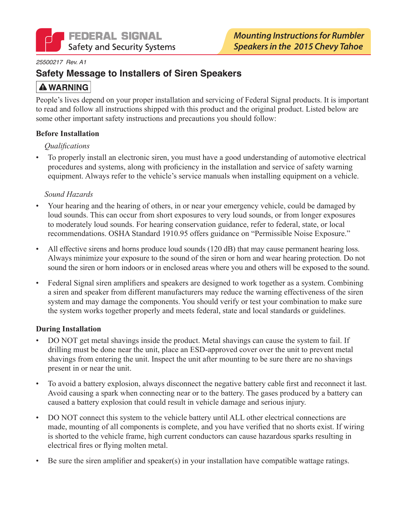

#### 25500217 Rev. A1

### **Safety Message to Installers of Siren Speakers**

## **A WARNING**

People's lives depend on your proper installation and servicing of Federal Signal products. It is important to read and follow all instructions shipped with this product and the original product. Listed below are some other important safety instructions and precautions you should follow:

#### **Before Installation**

#### *Qualifications*

To properly install an electronic siren, you must have a good understanding of automotive electrical  $\bullet$ procedures and systems, along with proficiency in the installation and service of safety warning equipment. Always refer to the vehicle's service manuals when installing equipment on a vehicle.

#### Sound Hazards

- Your hearing and the hearing of others, in or near your emergency vehicle, could be damaged by loud sounds. This can occur from short exposures to very loud sounds, or from longer exposures to moderately loud sounds. For hearing conservation guidance, refer to federal, state, or local recommendations. OSHA Standard 1910.95 offers guidance on "Permissible Noise Exposure."
- All effective sirens and horns produce loud sounds (120 dB) that may cause permanent hearing loss. Always minimize your exposure to the sound of the siren or horn and wear hearing protection. Do not sound the siren or horn indoors or in enclosed areas where you and others will be exposed to the sound.
- Federal Signal siren amplifiers and speakers are designed to work together as a system. Combining a siren and speaker from different manufacturers may reduce the warning effectiveness of the siren system and may damage the components. You should verify or test your combination to make sure the system works together properly and meets federal, state and local standards or guidelines.

#### **During Installation**

- DO NOT get metal shavings inside the product. Metal shavings can cause the system to fail. If drilling must be done near the unit, place an ESD-approved cover over the unit to prevent metal shavings from entering the unit. Inspect the unit after mounting to be sure there are no shavings present in or near the unit.
- To avoid a battery explosion, always disconnect the negative battery cable first and reconnect it last.  $\bullet$ Avoid causing a spark when connecting near or to the battery. The gases produced by a battery can caused a battery explosion that could result in vehicle damage and serious injury.
- DO NOT connect this system to the vehicle battery until ALL other electrical connections are made, mounting of all components is complete, and you have verified that no shorts exist. If wiring is shorted to the vehicle frame, high current conductors can cause hazardous sparks resulting in electrical fires or flying molten metal.
- Be sure the siren amplifier and speaker(s) in your installation have compatible wattage ratings.  $\bullet$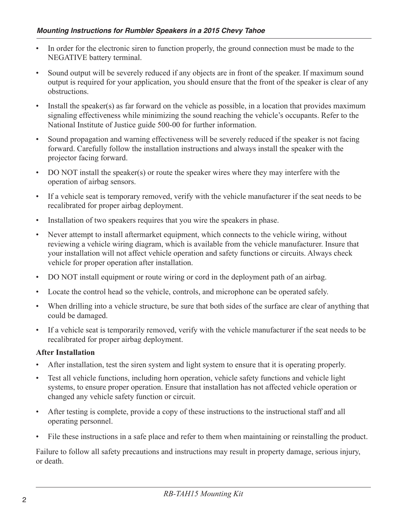- In order for the electronic siren to function properly, the ground connection must be made to the NEGATIVE battery terminal.
- Sound output will be severely reduced if any objects are in front of the speaker. If maximum sound output is required for your application, you should ensure that the front of the speaker is clear of any obstructions.
- Install the speaker(s) as far forward on the vehicle as possible, in a location that provides maximum signaling effectiveness while minimizing the sound reaching the vehicle's occupants. Refer to the National Institute of Justice guide 500-00 for further information.
- Sound propagation and warning effectiveness will be severely reduced if the speaker is not facing  $\bullet$ forward. Carefully follow the installation instructions and always install the speaker with the projector facing forward.
- DO NOT install the speaker(s) or route the speaker wires where they may interfere with the operation of airbag sensors.
- If a vehicle seat is temporary removed, verify with the vehicle manufacturer if the seat needs to be recalibrated for proper airbag deployment.
- Installation of two speakers requires that you wire the speakers in phase.  $\bullet$
- Never attempt to install aftermarket equipment, which connects to the vehicle wiring, without reviewing a vehicle wiring diagram, which is available from the vehicle manufacturer. Insure that your installation will not affect vehicle operation and safety functions or circuits. Always check vehicle for proper operation after installation.
- DO NOT install equipment or route wiring or cord in the deployment path of an airbag.  $\bullet$
- Locate the control head so the vehicle, controls, and microphone can be operated safely.  $\bullet$
- When drilling into a vehicle structure, be sure that both sides of the surface are clear of anything that  $\bullet$ could be damaged.
- If a vehicle seat is temporarily removed, verify with the vehicle manufacturer if the seat needs to be recalibrated for proper airbag deployment.

#### **After Installation**

- After installation, test the siren system and light system to ensure that it is operating properly.
- Test all vehicle functions, including horn operation, vehicle safety functions and vehicle light  $\bullet$ systems, to ensure proper operation. Ensure that installation has not affected vehicle operation or changed any vehicle safety function or circuit.
- After testing is complete, provide a copy of these instructions to the instructional staff and all  $\bullet$ operating personnel.
- File these instructions in a safe place and refer to them when maintaining or reinstalling the product.

Failure to follow all safety precautions and instructions may result in property damage, serious injury, or death.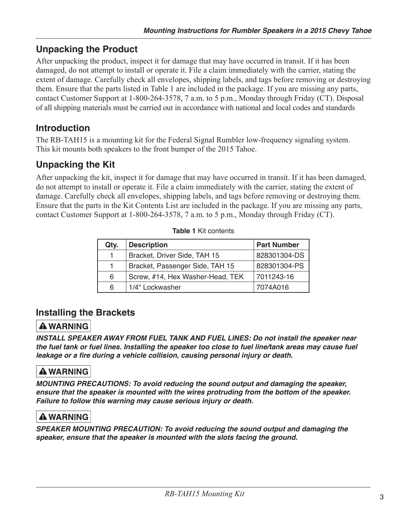# **Unpacking the Product**

After unpacking the product, inspect it for damage that may have occurred in transit. If it has been damaged, do not attempt to install or operate it. File a claim immediately with the carrier, stating the extent of damage. Carefully check all envelopes, shipping labels, and tags before removing or destroying them. Ensure that the parts listed in Table 1 are included in the package. If you are missing any parts, contact Customer Support at 1-800-264-3578, 7 a.m. to 5 p.m., Monday through Friday (CT). Disposal of all shipping materials must be carried out in accordance with national and local codes and standards

# **Introduction**

The RB-TAH15 is a mounting kit for the Federal Signal Rumbler low-frequency signaling system. This kit mounts both speakers to the front bumper of the 2015 Tahoe.

# **Unpacking the Kit**

After unpacking the kit, inspect it for damage that may have occurred in transit. If it has been damaged, do not attempt to install or operate it. File a claim immediately with the carrier, stating the extent of damage. Carefully check all envelopes, shipping labels, and tags before removing or destroying them. Ensure that the parts in the Kit Contents List are included in the package. If you are missing any parts, contact Customer Support at 1-800-264-3578, 7 a.m. to 5 p.m., Monday through Friday (CT).

| Qty. | <b>Description</b>               | <b>Part Number</b> |
|------|----------------------------------|--------------------|
|      | Bracket, Driver Side, TAH 15     | 828301304-DS       |
|      | Bracket, Passenger Side, TAH 15  | 828301304-PS       |
| 6    | Screw, #14, Hex Washer-Head, TEK | 7011243-16         |
| 6    | 1/4" Lockwasher                  | 7074A016           |

# **Installing the Brackets**

## **A WARNING**

INSTALL SPEAKER AWAY FROM FUEL TANK AND FUEL LINES: Do not install the speaker near the fuel tank or fuel lines. Installing the speaker too close to fuel line/tank areas may cause fuel leakage or a fire during a vehicle collision, causing personal injury or death.

# **A WARNING**

MOUNTING PRECAUTIONS: To avoid reducing the sound output and damaging the speaker, ensure that the speaker is mounted with the wires protruding from the bottom of the speaker. Failure to follow this warning may cause serious injury or death.

## **A WARNING**

SPEAKER MOUNTING PRECAUTION: To avoid reducing the sound output and damaging the speaker, ensure that the speaker is mounted with the slots facing the ground.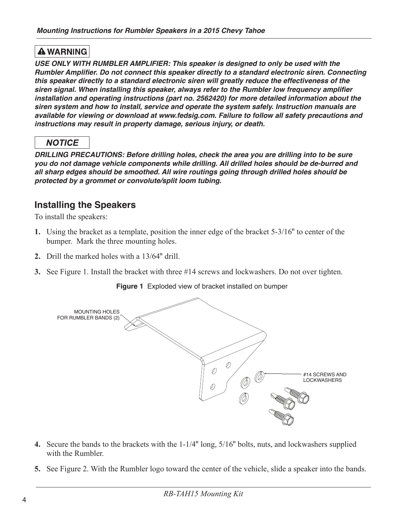### **A WARNING**

USE ONLY WITH RUMBLER AMPLIFIER: This speaker is designed to only be used with the Rumbler Amplifier. Do not connect this speaker directly to a standard electronic siren. Connecting this speaker directly to a standard electronic siren will greatly reduce the effectiveness of the siren signal. When installing this speaker, always refer to the Rumbler low frequency amplifier installation and operating instructions (part no. 2562420) for more detailed information about the siren system and how to install, service and operate the system safely. Instruction manuals are available for viewing or download at www.fedsig.com. Failure to follow all safety precautions and instructions may result in property damage, serious injury, or death.

## **NOTICE**

DRILLING PRECAUTIONS: Before drilling holes, check the area you are drilling into to be sure you do not damage vehicle components while drilling. All drilled holes should be de-burred and all sharp edges should be smoothed. All wire routings going through drilled holes should be protected by a grommet or convolute/split loom tubing.

## **Installing the Speakers**

To install the speakers:

- 1. Using the bracket as a template, position the inner edge of the bracket 5-3/16" to center of the bumper. Mark the three mounting holes.
- 2. Drill the marked holes with a 13/64" drill
- 3. See Figure 1. Install the bracket with three #14 screws and lockwashers. Do not over tighten.





- 4. Secure the bands to the brackets with the 1-1/4" long, 5/16" bolts, nuts, and lockwashers supplied with the Rumbler.
- 5. See Figure 2. With the Rumbler logo toward the center of the vehicle, slide a speaker into the bands.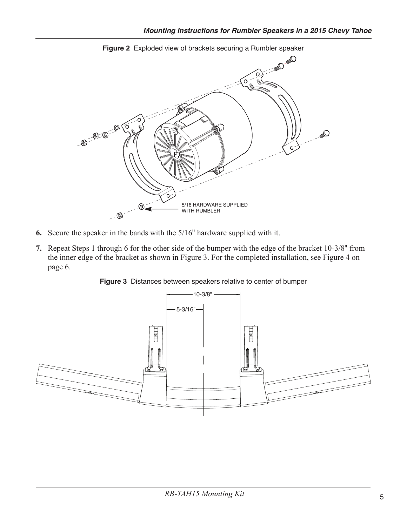

Figure 2 Exploded view of brackets securing a Rumbler speaker

- 6. Secure the speaker in the bands with the  $5/16$ " hardware supplied with it.
- 7. Repeat Steps 1 through 6 for the other side of the bumper with the edge of the bracket 10-3/8" from the inner edge of the bracket as shown in Figure 3. For the completed installation, see Figure 4 on page 6.



Figure 3 Distances between speakers relative to center of bumper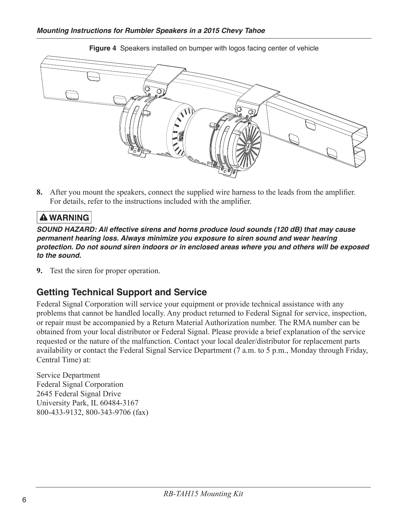

8. After you mount the speakers, connect the supplied wire harness to the leads from the amplifier. For details, refer to the instructions included with the amplifier.

### **A WARNING**

SOUND HAZARD: All effective sirens and horns produce loud sounds (120 dB) that may cause permanent hearing loss. Always minimize you exposure to siren sound and wear hearing protection. Do not sound siren indoors or in enclosed areas where you and others will be exposed to the sound.

**9.** Test the siren for proper operation.

## **Getting Technical Support and Service**

Federal Signal Corporation will service your equipment or provide technical assistance with any problems that cannot be handled locally. Any product returned to Federal Signal for service, inspection, or repair must be accompanied by a Return Material Authorization number. The RMA number can be obtained from your local distributor or Federal Signal. Please provide a brief explanation of the service requested or the nature of the malfunction. Contact your local dealer/distributor for replacement parts availability or contact the Federal Signal Service Department (7 a.m. to 5 p.m., Monday through Friday, Central Time) at:

Service Department **Federal Signal Corporation** 2645 Federal Signal Drive University Park, IL 60484-3167 800-433-9132, 800-343-9706 (fax)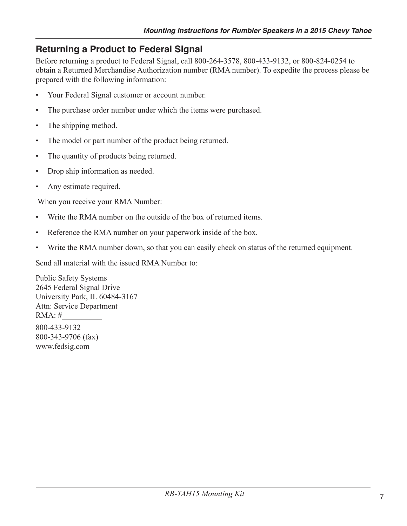# **Returning a Product to Federal Signal**

Before returning a product to Federal Signal, call 800-264-3578, 800-433-9132, or 800-824-0254 to obtain a Returned Merchandise Authorization number (RMA number). To expedite the process please be prepared with the following information:

- Your Federal Signal customer or account number.  $\bullet$
- The purchase order number under which the items were purchased.  $\bullet$
- The shipping method.  $\bullet$
- The model or part number of the product being returned.  $\bullet$
- The quantity of products being returned.  $\bullet$
- Drop ship information as needed.  $\bullet$
- Any estimate required.  $\bullet$

When you receive your RMA Number:

- Write the RMA number on the outside of the box of returned items.  $\bullet$
- Reference the RMA number on your paperwork inside of the box.  $\bullet$
- $\bullet$ Write the RMA number down, so that you can easily check on status of the returned equipment.

Send all material with the issued RMA Number to:

**Public Safety Systems** 2645 Federal Signal Drive University Park, IL 60484-3167 Attn: Service Department  $RMA:#$ 800-433-9132 800-343-9706 (fax) www.fedsig.com